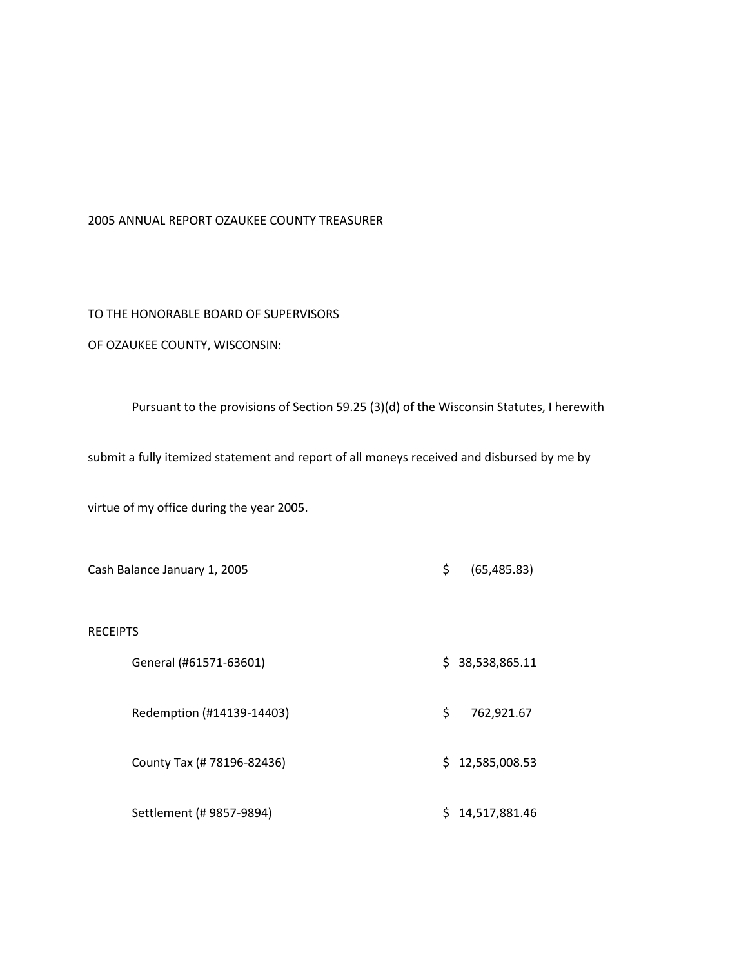#### 2005 ANNUAL REPORT OZAUKEE COUNTY TREASURER

### TO THE HONORABLE BOARD OF SUPERVISORS

## OF OZAUKEE COUNTY, WISCONSIN:

### Pursuant to the provisions of Section 59.25 (3)(d) of the Wisconsin Statutes, I herewith

submit a fully itemized statement and report of all moneys received and disbursed by me by

virtue of my office during the year 2005.

|                 | Cash Balance January 1, 2005 | \$ | (65, 485.83)    |
|-----------------|------------------------------|----|-----------------|
| <b>RECEIPTS</b> |                              |    |                 |
|                 | General (#61571-63601)       |    | \$38,538,865.11 |
|                 | Redemption (#14139-14403)    | \$ | 762,921.67      |
|                 | County Tax (# 78196-82436)   |    | \$12,585,008.53 |
|                 | Settlement (# 9857-9894)     | Ś. | 14,517,881.46   |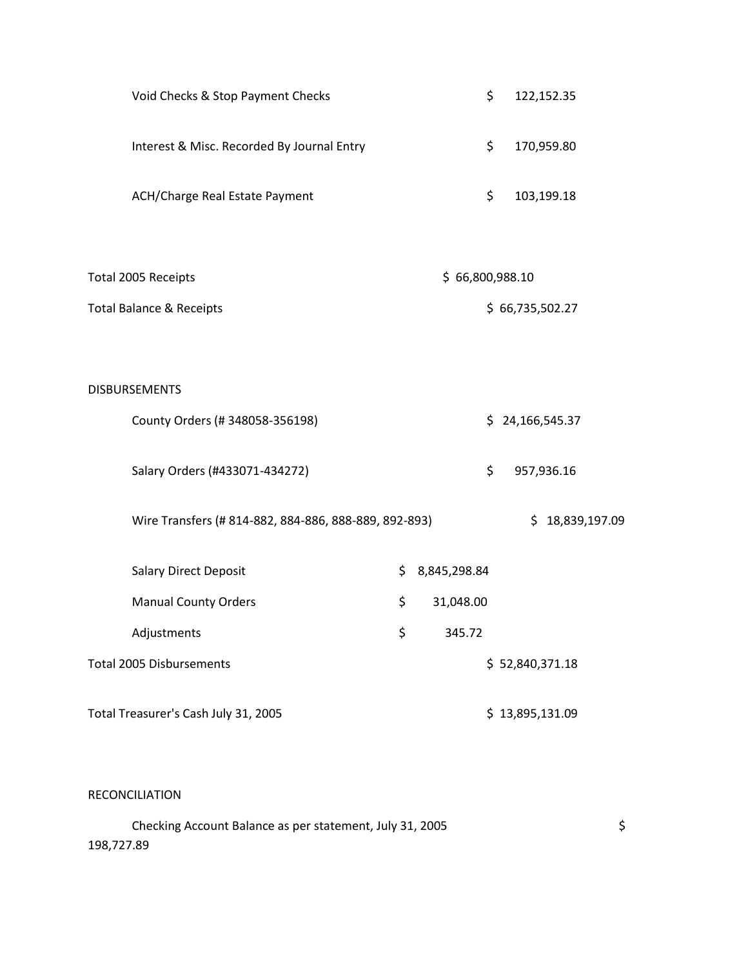| Void Checks & Stop Payment Checks                     | \$<br>122,152.35   |
|-------------------------------------------------------|--------------------|
| Interest & Misc. Recorded By Journal Entry            | \$<br>170,959.80   |
| ACH/Charge Real Estate Payment                        | \$<br>103,199.18   |
|                                                       |                    |
| Total 2005 Receipts                                   | \$66,800,988.10    |
| <b>Total Balance &amp; Receipts</b>                   | \$66,735,502.27    |
|                                                       |                    |
| <b>DISBURSEMENTS</b>                                  |                    |
| County Orders (#348058-356198)                        | \$24,166,545.37    |
| Salary Orders (#433071-434272)                        | \$<br>957,936.16   |
| Wire Transfers (# 814-882, 884-886, 888-889, 892-893) | \$18,839,197.09    |
| Salary Direct Deposit                                 | \$<br>8,845,298.84 |
| <b>Manual County Orders</b>                           | \$<br>31,048.00    |
| Adjustments                                           | \$<br>345.72       |
| <b>Total 2005 Disbursements</b>                       | \$52,840,371.18    |
| Total Treasurer's Cash July 31, 2005                  | \$13,895,131.09    |

RECONCILIATION

Checking Account Balance as per statement, July 31, 2005 198,727.89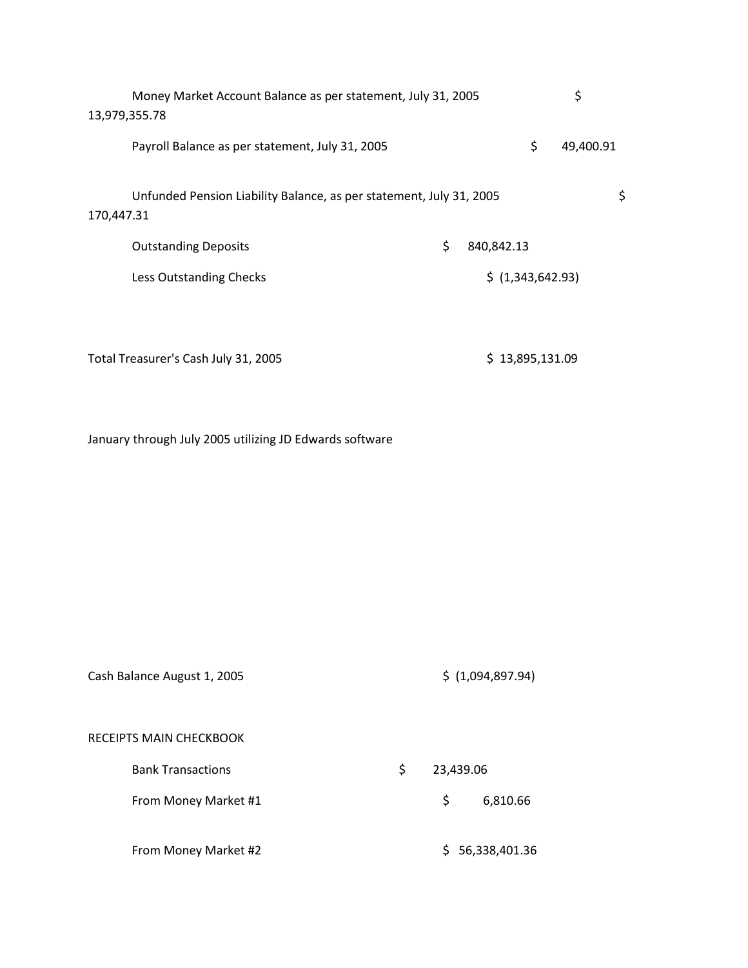|            | Money Market Account Balance as per statement, July 31, 2005<br>13,979,355.78 |                  | \$              |    |
|------------|-------------------------------------------------------------------------------|------------------|-----------------|----|
|            | Payroll Balance as per statement, July 31, 2005                               |                  | \$<br>49,400.91 |    |
| 170,447.31 | Unfunded Pension Liability Balance, as per statement, July 31, 2005           |                  |                 | \$ |
|            | <b>Outstanding Deposits</b>                                                   | \$<br>840,842.13 |                 |    |
|            | Less Outstanding Checks                                                       | \$(1,343,642.93) |                 |    |
|            |                                                                               |                  |                 |    |
|            |                                                                               |                  |                 |    |

Total Treasurer's Cash July 31, 2005 **\$** 13,895,131.09

January through July 2005 utilizing JD Edwards software

| Cash Balance August 1, 2005 |                 | \$(1,094,897.94) |
|-----------------------------|-----------------|------------------|
| RECEIPTS MAIN CHECKBOOK     |                 |                  |
| <b>Bank Transactions</b>    | \$<br>23,439.06 |                  |
| From Money Market #1        | \$              | 6,810.66         |
| From Money Market #2        |                 | \$56,338,401.36  |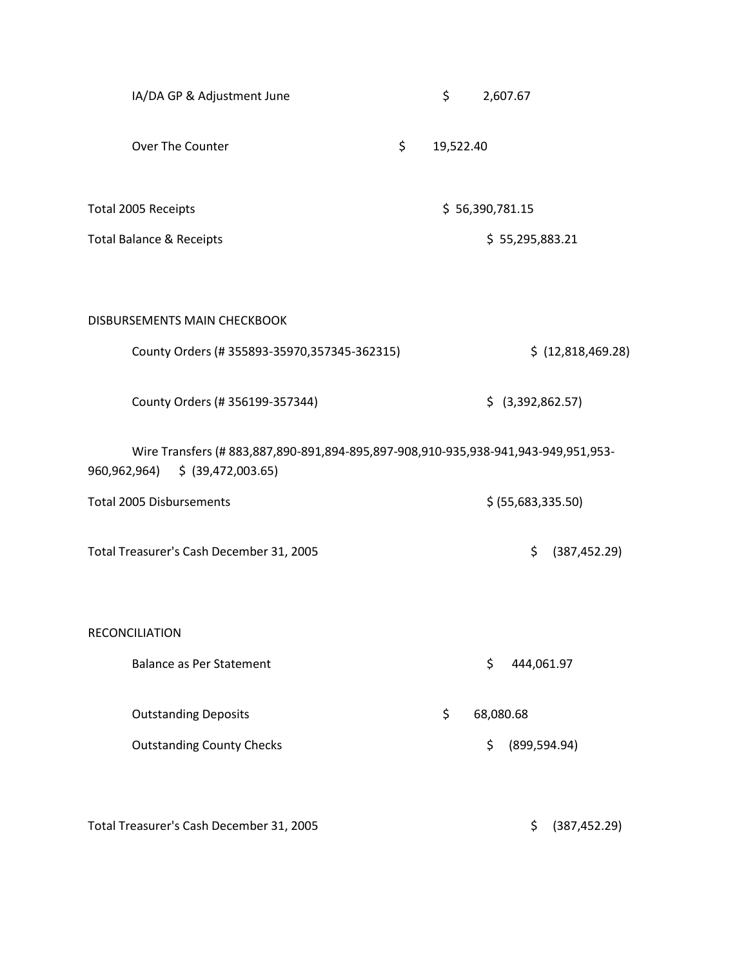| IA/DA GP & Adjustment June                                                                                           | \$              |                 | 2,607.67            |
|----------------------------------------------------------------------------------------------------------------------|-----------------|-----------------|---------------------|
| Over The Counter                                                                                                     | \$<br>19,522.40 |                 |                     |
| Total 2005 Receipts                                                                                                  |                 | \$56,390,781.15 |                     |
| <b>Total Balance &amp; Receipts</b>                                                                                  |                 |                 | \$55,295,883.21     |
| DISBURSEMENTS MAIN CHECKBOOK                                                                                         |                 |                 |                     |
| County Orders (#355893-35970,357345-362315)                                                                          |                 |                 | \$ (12,818,469.28)  |
| County Orders (#356199-357344)                                                                                       |                 |                 | $$$ (3,392,862.57)  |
| Wire Transfers (#883,887,890-891,894-895,897-908,910-935,938-941,943-949,951,953-<br>960,962,964) \$ (39,472,003.65) |                 |                 |                     |
| <b>Total 2005 Disbursements</b>                                                                                      |                 |                 | \$ (55,683,335.50)  |
| Total Treasurer's Cash December 31, 2005                                                                             |                 |                 | \$<br>(387, 452.29) |
| <b>RECONCILIATION</b>                                                                                                |                 |                 |                     |
| <b>Balance as Per Statement</b>                                                                                      |                 | \$              | 444,061.97          |
| <b>Outstanding Deposits</b>                                                                                          | \$              | 68,080.68       |                     |
| <b>Outstanding County Checks</b>                                                                                     |                 | \$              | (899, 594.94)       |
|                                                                                                                      |                 |                 |                     |

Total Treasurer's Cash December 31, 2005 **\$** (387,452.29)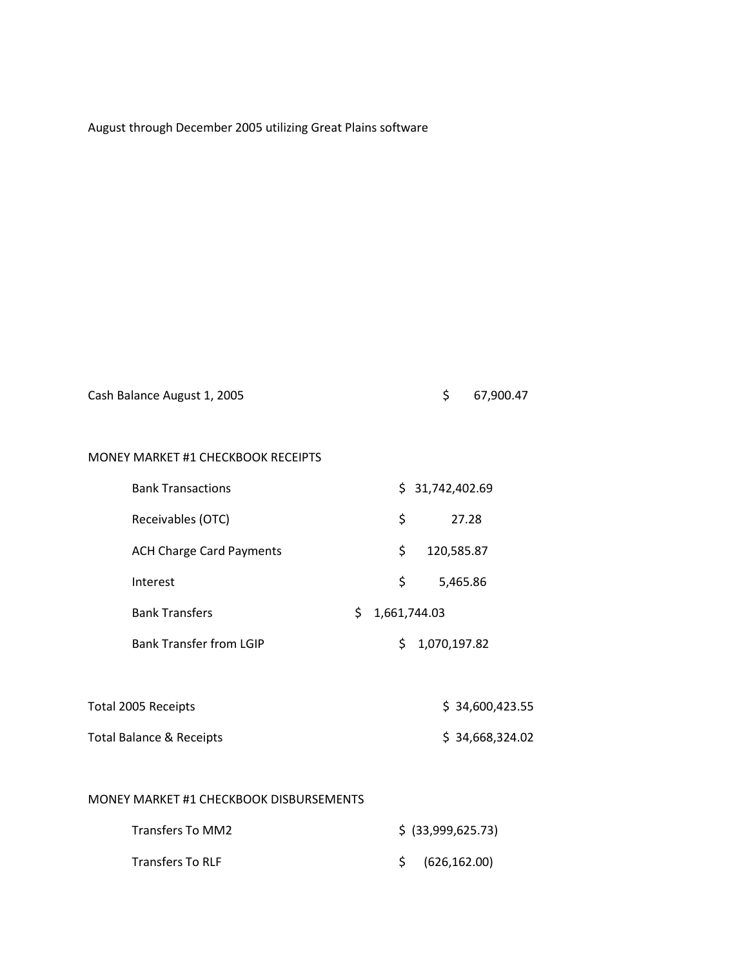| Cash Balance August 1, 2005 | 67,900.47 |
|-----------------------------|-----------|
|                             |           |

## MONEY MARKET #1 CHECKBOOK RECEIPTS

| <b>Bank Transactions</b>        | \$31,742,402.69   |
|---------------------------------|-------------------|
| Receivables (OTC)               | Ś<br>27.28        |
| <b>ACH Charge Card Payments</b> | Ś<br>120,585.87   |
| Interest                        | S.<br>5,465.86    |
| <b>Bank Transfers</b>           | Ś<br>1,661,744.03 |
| <b>Bank Transfer from LGIP</b>  | 1,070,197.82      |

| Total 2005 Receipts      | \$34,600,423.55 |
|--------------------------|-----------------|
| Total Balance & Receipts | \$34,668,324.02 |

## MONEY MARKET #1 CHECKBOOK DISBURSEMENTS

| Transfers To MM2        | $$$ (33,999,625.73)        |
|-------------------------|----------------------------|
| <b>Transfers To RLF</b> | $\frac{1}{2}$ (626,162.00) |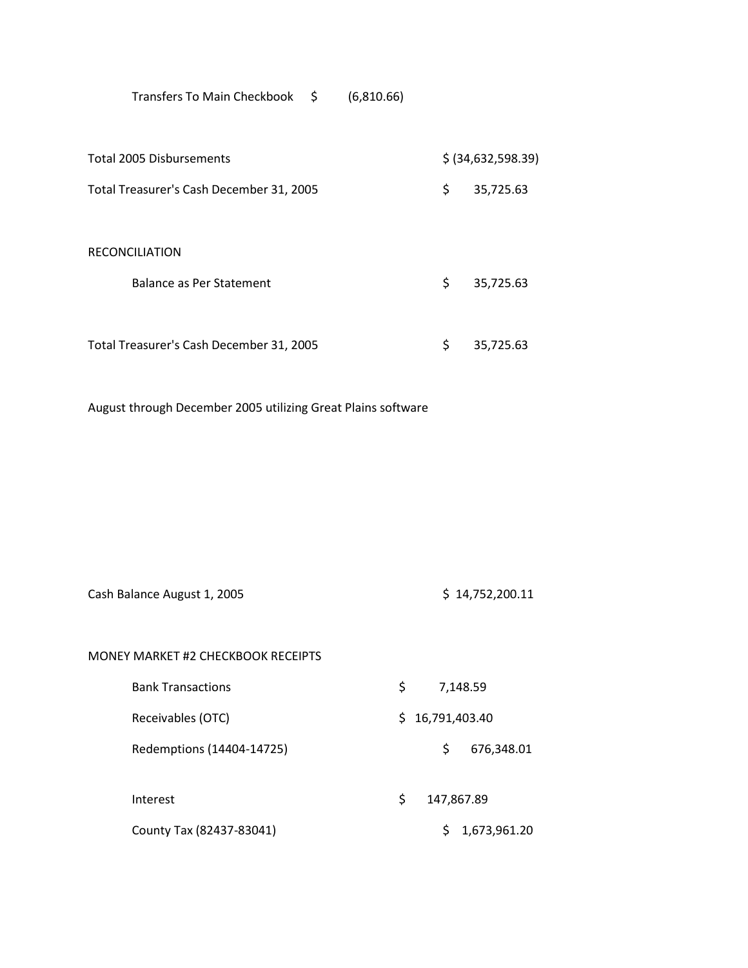Transfers To Main Checkbook \$ (6,810.66)

| <b>Total 2005 Disbursements</b>          | \$ (34,632,598.39) |
|------------------------------------------|--------------------|
| Total Treasurer's Cash December 31, 2005 | \$<br>35,725.63    |
| <b>RECONCILIATION</b>                    |                    |
| Balance as Per Statement                 | \$<br>35,725.63    |
| Total Treasurer's Cash December 31, 2005 | \$<br>35,725.63    |

August through December 2005 utilizing Great Plains software

| Cash Balance August 1, 2005 | \$14,752,200.11 |
|-----------------------------|-----------------|
|-----------------------------|-----------------|

| MONEY MARKET #2 CHECKBOOK RECEIPTS |    |                  |
|------------------------------------|----|------------------|
| <b>Bank Transactions</b>           | S  | 7,148.59         |
| Receivables (OTC)                  | S. | 16,791,403.40    |
| Redemptions (14404-14725)          |    | \$<br>676,348.01 |
| Interest                           | \$ | 147,867.89       |
| County Tax (82437-83041)           |    | 1,673,961.20     |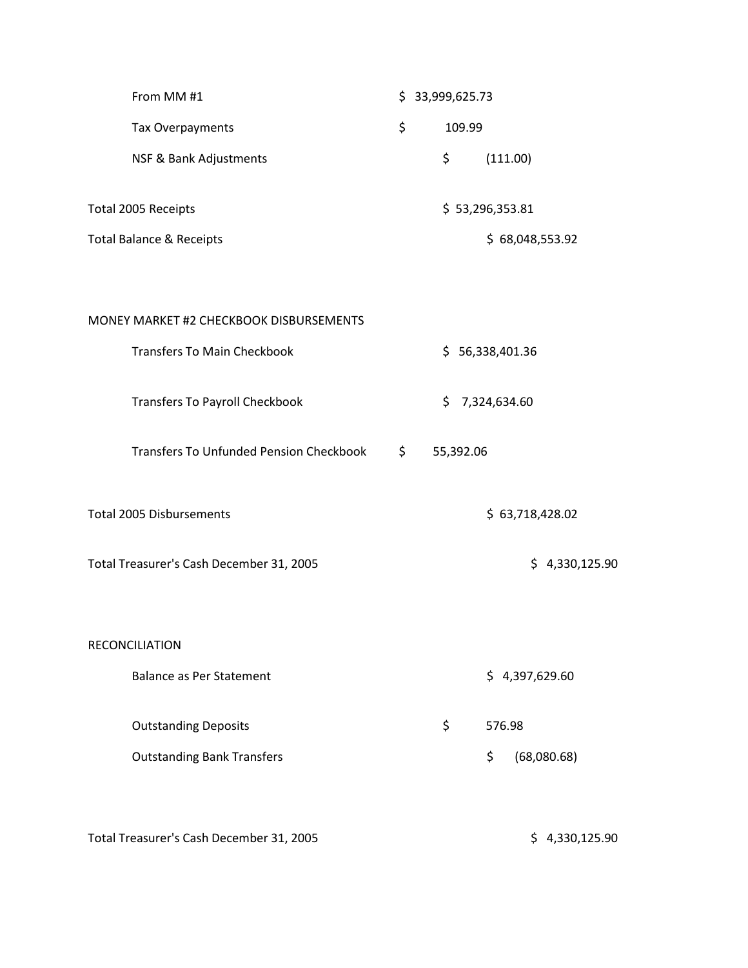| From MM #1                                     | \$3,999,625.73 |           |                 |                |
|------------------------------------------------|----------------|-----------|-----------------|----------------|
| Tax Overpayments                               | \$             | 109.99    |                 |                |
| NSF & Bank Adjustments                         | \$             |           | (111.00)        |                |
| Total 2005 Receipts                            |                |           | \$53,296,353.81 |                |
| <b>Total Balance &amp; Receipts</b>            |                |           | \$68,048,553.92 |                |
|                                                |                |           |                 |                |
| MONEY MARKET #2 CHECKBOOK DISBURSEMENTS        |                |           |                 |                |
| <b>Transfers To Main Checkbook</b>             |                |           | \$56,338,401.36 |                |
| <b>Transfers To Payroll Checkbook</b>          | \$.            |           | 7,324,634.60    |                |
| <b>Transfers To Unfunded Pension Checkbook</b> | \$             | 55,392.06 |                 |                |
| <b>Total 2005 Disbursements</b>                |                |           | \$63,718,428.02 |                |
| Total Treasurer's Cash December 31, 2005       |                |           |                 | \$4,330,125.90 |
|                                                |                |           |                 |                |
|                                                |                |           |                 |                |

RECONCILIATION

Balance as Per Statement \$ 4,397,629.60

Outstanding Deposits **by ST6.98** Outstanding Bank Transfers **by Community** (68,080.68)

Total Treasurer's Cash December 31, 2005 **\$** 4,330,125.90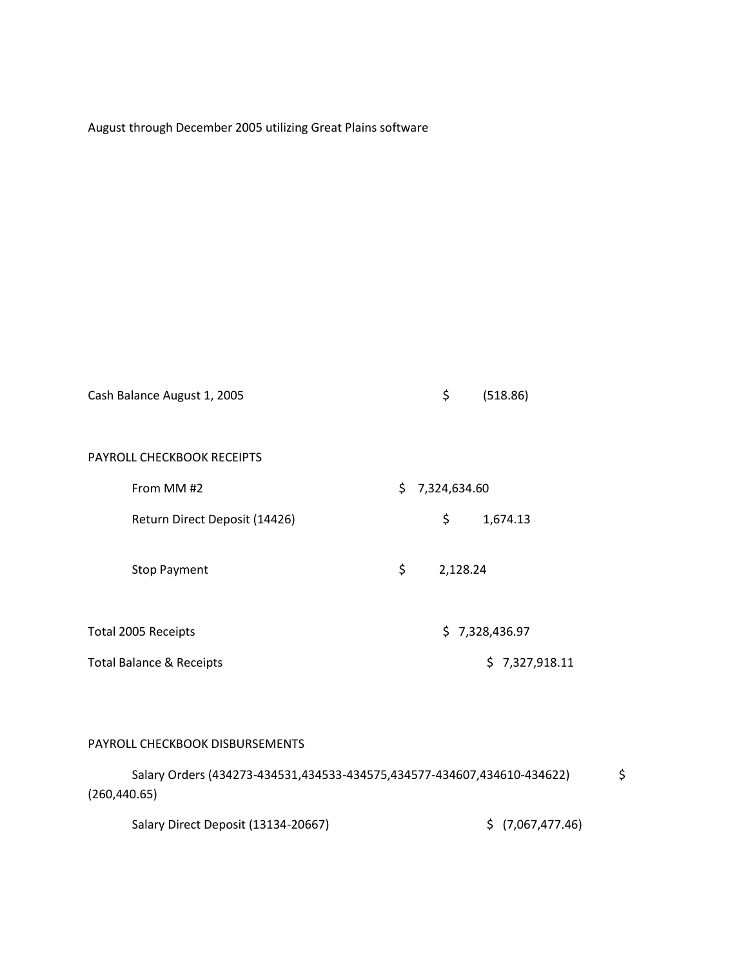| Cash Balance August 1, 2005         | \$<br>(518.86)      |
|-------------------------------------|---------------------|
| PAYROLL CHECKBOOK RECEIPTS          |                     |
| From MM #2                          | \$.<br>7,324,634.60 |
| Return Direct Deposit (14426)       | \$<br>1,674.13      |
| <b>Stop Payment</b>                 | \$<br>2,128.24      |
| Total 2005 Receipts                 | \$7,328,436.97      |
| <b>Total Balance &amp; Receipts</b> | \$7,327,918.11      |
|                                     |                     |

## PAYROLL CHECKBOOK DISBURSEMENTS

| Salary Orders (434273-434531,434533-434575,434577-434607,434610-434622) |                  |  |  |  |  |  |  |  |
|-------------------------------------------------------------------------|------------------|--|--|--|--|--|--|--|
| (260, 440.65)                                                           |                  |  |  |  |  |  |  |  |
| Salary Direct Deposit (13134-20667)                                     | \$(7,067,477.46) |  |  |  |  |  |  |  |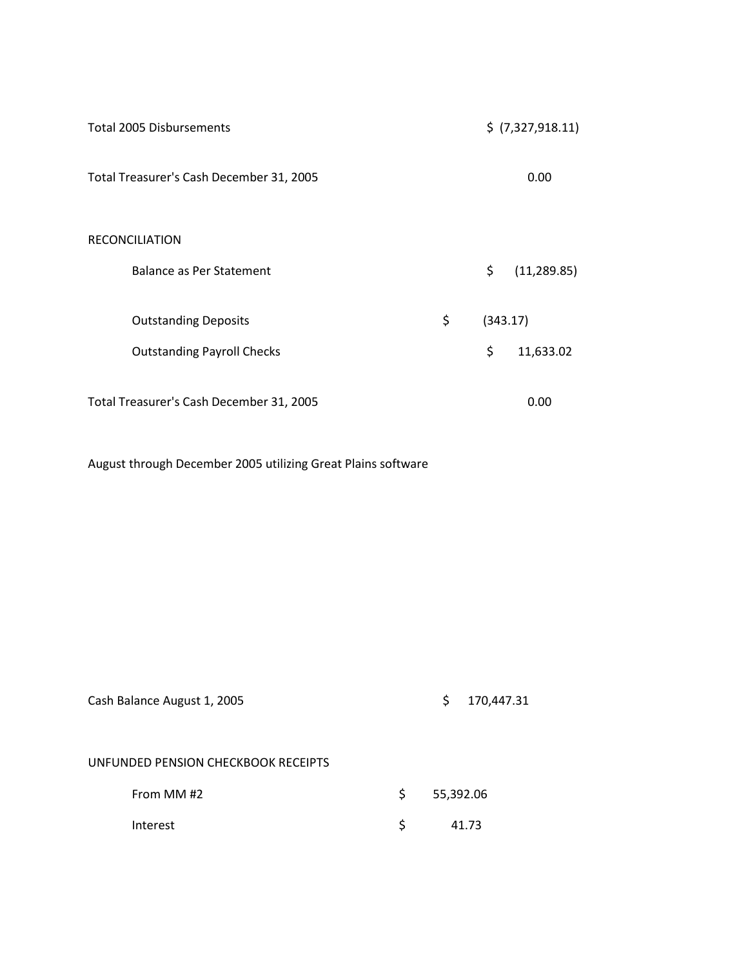| <b>Total 2005 Disbursements</b>          | \$ (7,327,918.11) |                    |
|------------------------------------------|-------------------|--------------------|
| Total Treasurer's Cash December 31, 2005 |                   | 0.00               |
| <b>RECONCILIATION</b>                    |                   |                    |
| Balance as Per Statement                 |                   | \$<br>(11, 289.85) |
| <b>Outstanding Deposits</b>              | \$                | (343.17)           |
| <b>Outstanding Payroll Checks</b>        |                   | \$<br>11,633.02    |
| Total Treasurer's Cash December 31, 2005 |                   | 0.00               |

| Cash Balance August 1, 2005         |    | 170,447.31<br>\$ |  |
|-------------------------------------|----|------------------|--|
| UNFUNDED PENSION CHECKBOOK RECEIPTS |    |                  |  |
| From MM #2                          | S. | 55,392.06        |  |
| Interest                            | S  | 41.73            |  |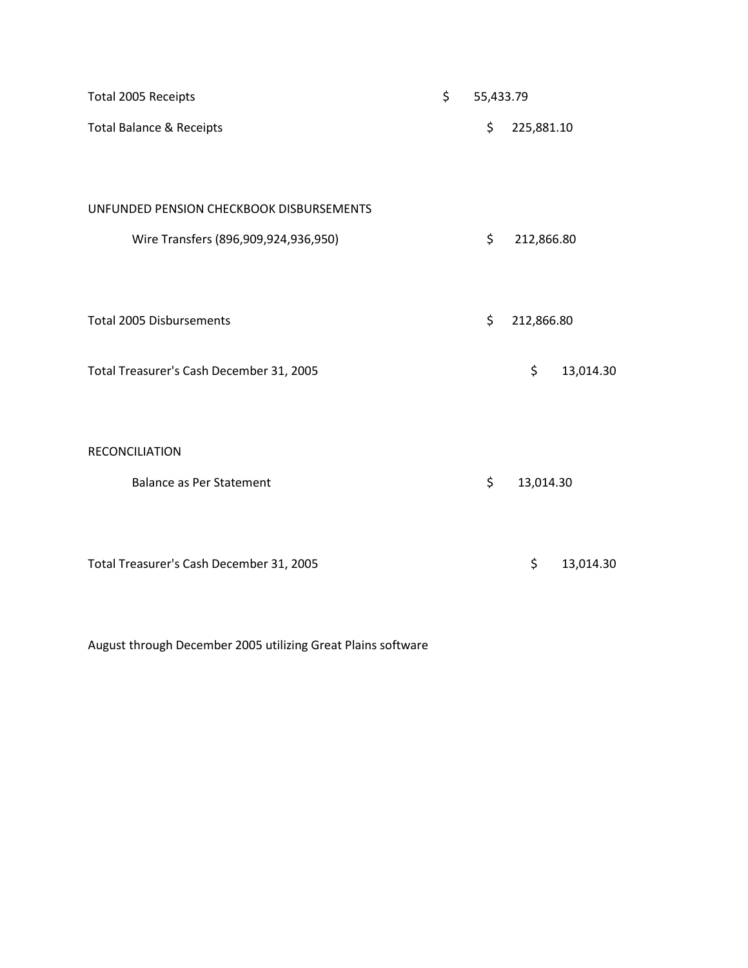| Total 2005 Receipts                      | \$<br>55,433.79 |            |           |
|------------------------------------------|-----------------|------------|-----------|
| <b>Total Balance &amp; Receipts</b>      | \$              | 225,881.10 |           |
| UNFUNDED PENSION CHECKBOOK DISBURSEMENTS |                 |            |           |
| Wire Transfers (896,909,924,936,950)     | \$              | 212,866.80 |           |
| <b>Total 2005 Disbursements</b>          | \$              | 212,866.80 |           |
| Total Treasurer's Cash December 31, 2005 |                 | \$         | 13,014.30 |
| <b>RECONCILIATION</b>                    |                 |            |           |
| <b>Balance as Per Statement</b>          | \$              | 13,014.30  |           |
| Total Treasurer's Cash December 31, 2005 |                 | \$         | 13,014.30 |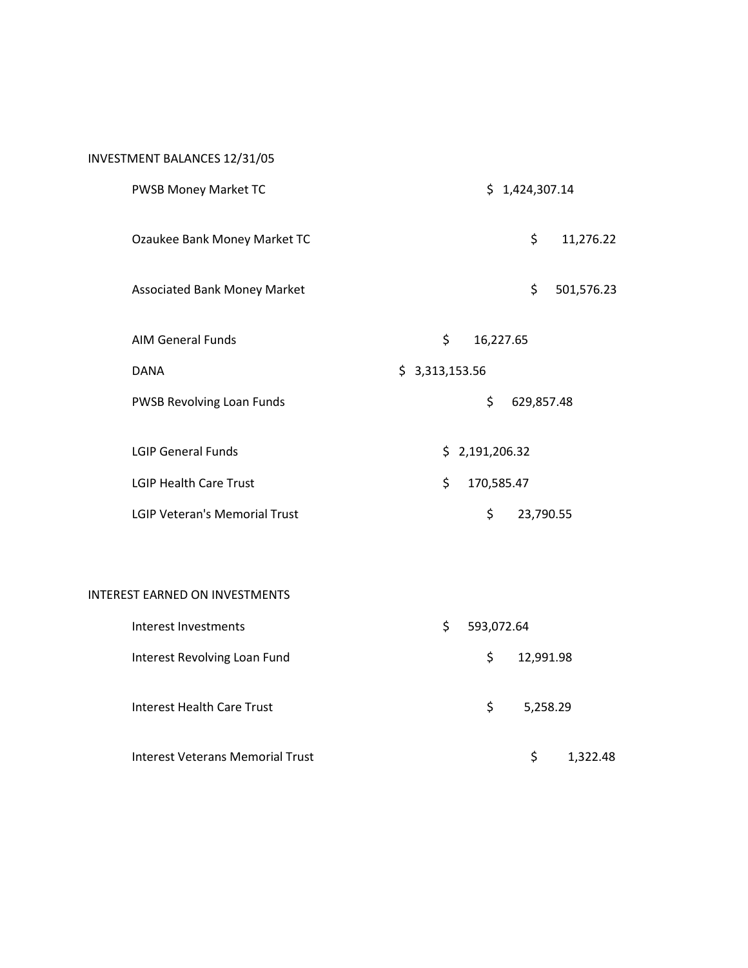# INVESTMENT BALANCES 12/31/05

| PWSB Money Market TC                 | \$1,424,307.14   |
|--------------------------------------|------------------|
| Ozaukee Bank Money Market TC         | \$<br>11,276.22  |
| <b>Associated Bank Money Market</b>  | \$<br>501,576.23 |
| <b>AIM General Funds</b>             | \$<br>16,227.65  |
| <b>DANA</b>                          | \$3,313,153.56   |
| <b>PWSB Revolving Loan Funds</b>     | \$<br>629,857.48 |
| <b>LGIP General Funds</b>            | \$2,191,206.32   |
| <b>LGIP Health Care Trust</b>        | \$<br>170,585.47 |
| <b>LGIP Veteran's Memorial Trust</b> | \$<br>23,790.55  |

### INTEREST EARNED ON INVESTMENTS

| Interest Investments             | S | 593,072.64      |
|----------------------------------|---|-----------------|
| Interest Revolving Loan Fund     |   | \$<br>12,991.98 |
| Interest Health Care Trust       |   | \$<br>5,258.29  |
| Interest Veterans Memorial Trust |   | Ś<br>1.322.48   |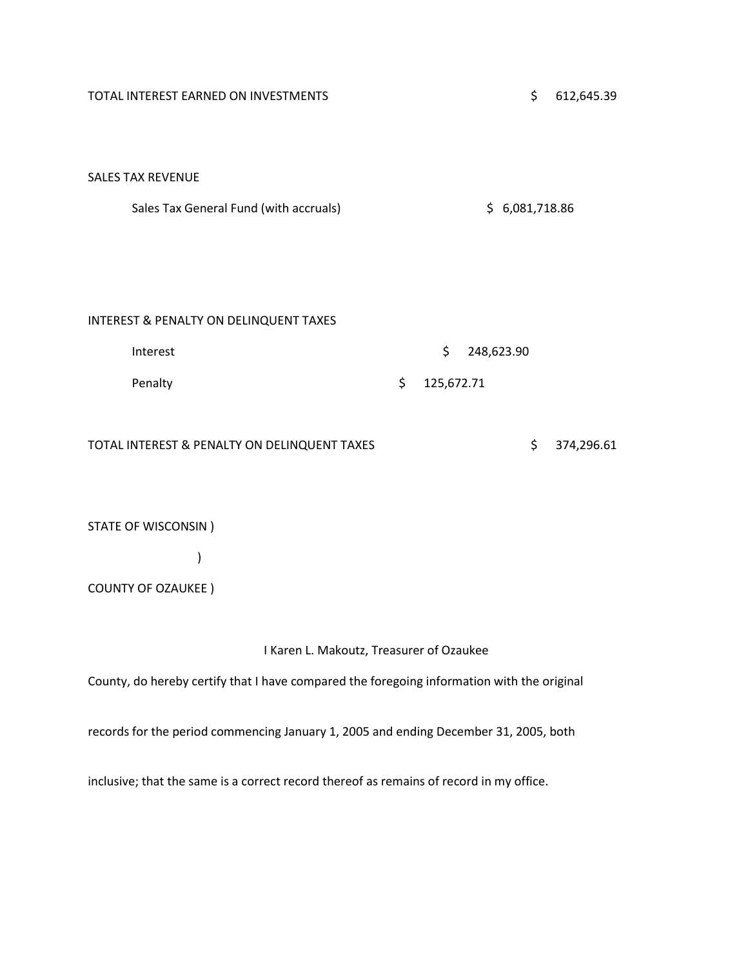| TOTAL INTEREST EARNED ON INVESTMENTS         | \$<br>612,645.39 |
|----------------------------------------------|------------------|
|                                              |                  |
|                                              |                  |
| <b>SALES TAX REVENUE</b>                     |                  |
| Sales Tax General Fund (with accruals)       | \$6,081,718.86   |
|                                              |                  |
|                                              |                  |
|                                              |                  |
|                                              |                  |
| INTEREST & PENALTY ON DELINQUENT TAXES       |                  |
| Interest                                     | \$<br>248,623.90 |
| Penalty                                      | \$<br>125,672.71 |
|                                              |                  |
|                                              |                  |
| TOTAL INTEREST & PENALTY ON DELINQUENT TAXES | \$<br>374,296.61 |
|                                              |                  |
|                                              |                  |
| STATE OF WISCONSIN)                          |                  |

)

|  | <b>COUNTY OF OZAUKEE)</b> |
|--|---------------------------|
|--|---------------------------|

I Karen L. Makoutz, Treasurer of Ozaukee

County, do hereby certify that I have compared the foregoing information with the original

records for the period commencing January 1, 2005 and ending December 31, 2005, both

inclusive; that the same is a correct record thereof as remains of record in my office.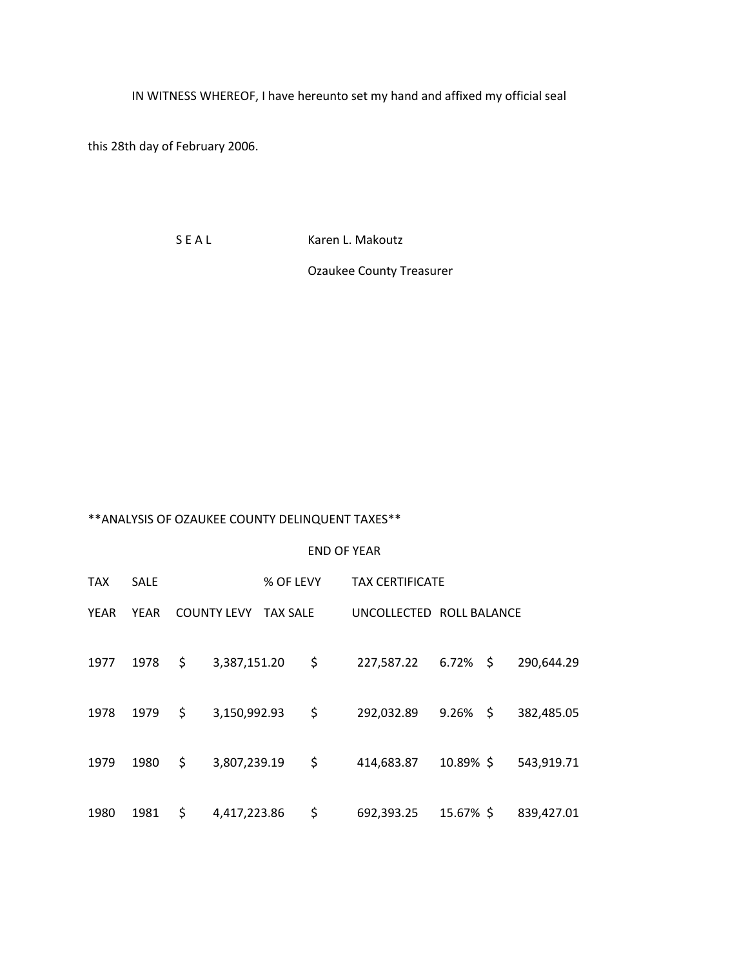IN WITNESS WHEREOF, I have hereunto set my hand and affixed my official seal

this 28th day of February 2006.

S E A L Karen L. Makoutz

Ozaukee County Treasurer

# \*\*ANALYSIS OF OZAUKEE COUNTY DELINQUENT TAXES\*\*

#### END OF YEAR

| <b>TAX</b> | <b>SALE</b> |                    | % OF LEVY       | <b>TAX CERTIFICATE</b>   |             |            |
|------------|-------------|--------------------|-----------------|--------------------------|-------------|------------|
| YEAR       | YEAR        | <b>COUNTY LEVY</b> | <b>TAX SALE</b> | UNCOLLECTED ROLL BALANCE |             |            |
| 1977       | 1978        | \$<br>3,387,151.20 |                 | \$<br>227,587.22         | $6.72\%$ \$ | 290,644.29 |
| 1978       | 1979        | \$<br>3,150,992.93 |                 | \$<br>292,032.89         | $9.26\%$ \$ | 382,485.05 |
| 1979       | 1980        | \$<br>3,807,239.19 |                 | \$<br>414,683.87         | 10.89% \$   | 543,919.71 |
| 1980       | 1981        | \$<br>4,417,223.86 |                 | \$<br>692,393.25         | 15.67% \$   | 839,427.01 |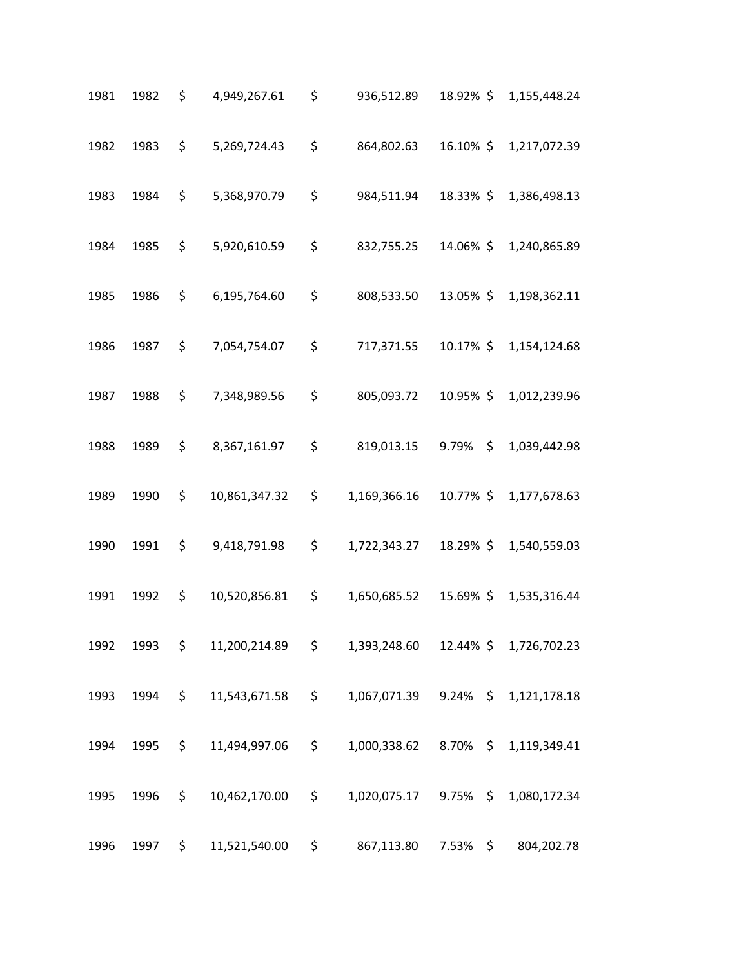| 1981 | 1982 | \$                  | 4,949,267.61  | \$       | 936,512.89                         | 18.92% \$ |                | 1,155,448.24           |
|------|------|---------------------|---------------|----------|------------------------------------|-----------|----------------|------------------------|
| 1982 | 1983 | \$                  | 5,269,724.43  | \$       | 864,802.63                         | 16.10% \$ |                | 1,217,072.39           |
| 1983 | 1984 | \$                  | 5,368,970.79  | \$       | 984,511.94                         | 18.33% \$ |                | 1,386,498.13           |
| 1984 | 1985 | \$                  | 5,920,610.59  | \$       | 832,755.25                         | 14.06% \$ |                | 1,240,865.89           |
| 1985 | 1986 | \$                  | 6,195,764.60  | \$       | 808,533.50                         | 13.05% \$ |                | 1,198,362.11           |
| 1986 | 1987 | \$                  | 7,054,754.07  | \$       | 717,371.55                         | 10.17% \$ |                | 1,154,124.68           |
| 1987 | 1988 | \$                  | 7,348,989.56  | \$       | 805,093.72                         | 10.95%\$  |                | 1,012,239.96           |
| 1988 | 1989 | \$                  | 8,367,161.97  | \$       | 819,013.15 9.79%                   |           | $\mathsf{S}^-$ | 1,039,442.98           |
| 1989 | 1990 | \$                  | 10,861,347.32 | \$       | 1,169,366.16                       | 10.77% \$ |                | 1,177,678.63           |
| 1990 | 1991 | \$                  | 9,418,791.98  | \$       | 1,722,343.27                       | 18.29% \$ |                | 1,540,559.03           |
| 1991 | 1992 | \$                  | 10,520,856.81 | \$       | 1,650,685.52                       | 15.69%\$  |                | 1,535,316.44           |
| 1992 | 1993 | $\ddot{\mathsf{S}}$ | 11,200,214.89 | $\sharp$ | 1,393,248.60                       |           |                | 12.44% \$ 1,726,702.23 |
| 1993 | 1994 | \$                  | 11,543,671.58 | $\sharp$ | 1,067,071.39 9.24% \$ 1,121,178.18 |           |                |                        |
| 1994 | 1995 | \$                  | 11,494,997.06 | $\sharp$ | 1,000,338.62 8.70% \$ 1,119,349.41 |           |                |                        |
| 1995 | 1996 | \$                  | 10,462,170.00 | $\sharp$ | 1,020,075.17 9.75% \$              |           |                | 1,080,172.34           |
| 1996 | 1997 | \$                  | 11,521,540.00 | \$       | 867,113.80                         | 7.53%     | $\sharp$       | 804,202.78             |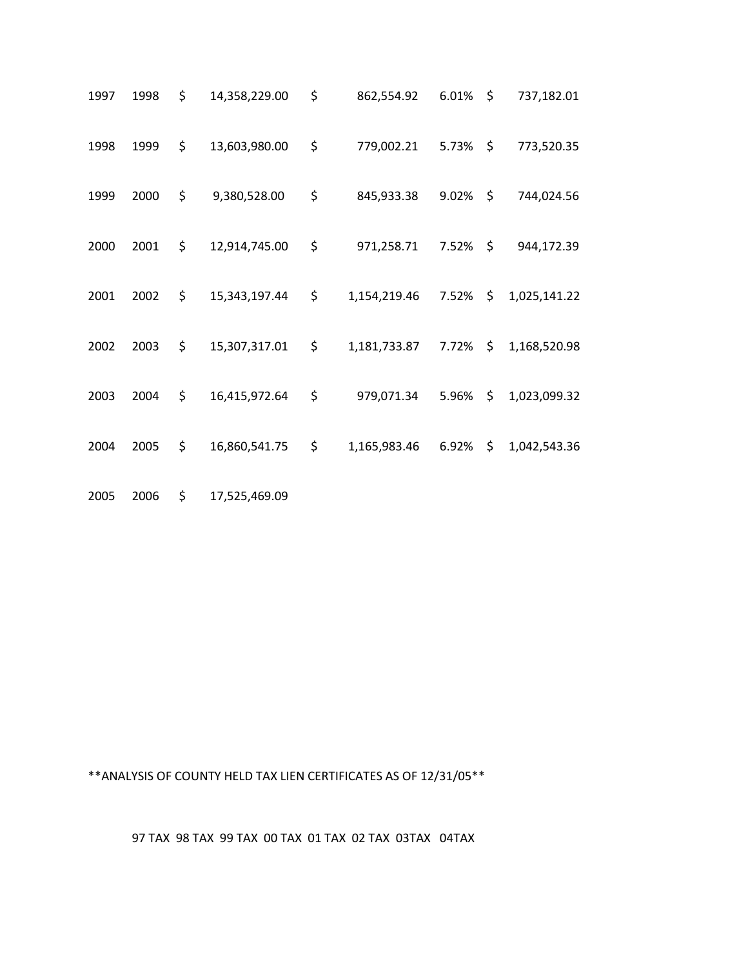| 1997 | 1998 | \$<br>14,358,229.00 | \$<br>862,554.92          | $6.01\%$ \$ |               | 737,182.01   |
|------|------|---------------------|---------------------------|-------------|---------------|--------------|
| 1998 | 1999 | \$<br>13,603,980.00 | \$<br>779,002.21 5.73% \$ |             |               | 773,520.35   |
| 1999 | 2000 | \$<br>9,380,528.00  | \$<br>845,933.38          | $9.02\%$ \$ |               | 744,024.56   |
| 2000 | 2001 | \$<br>12,914,745.00 | \$<br>971,258.71          | 7.52%       | \$            | 944,172.39   |
| 2001 | 2002 | \$<br>15,343,197.44 | \$<br>1,154,219.46        | 7.52%       | \$            | 1,025,141.22 |
| 2002 | 2003 | \$<br>15,307,317.01 | \$<br>1,181,733.87 7.72%  |             | $\frac{1}{2}$ | 1,168,520.98 |
| 2003 | 2004 | \$<br>16,415,972.64 | \$<br>979,071.34          | 5.96%       | \$            | 1,023,099.32 |
| 2004 | 2005 | \$<br>16,860,541.75 | \$<br>1,165,983.46 6.92%  |             | \$            | 1,042,543.36 |
| 2005 | 2006 | \$<br>17,525,469.09 |                           |             |               |              |

\*\*ANALYSIS OF COUNTY HELD TAX LIEN CERTIFICATES AS OF 12/31/05\*\*

97 TAX 98 TAX 99 TAX 00 TAX 01 TAX 02 TAX 03TAX 04TAX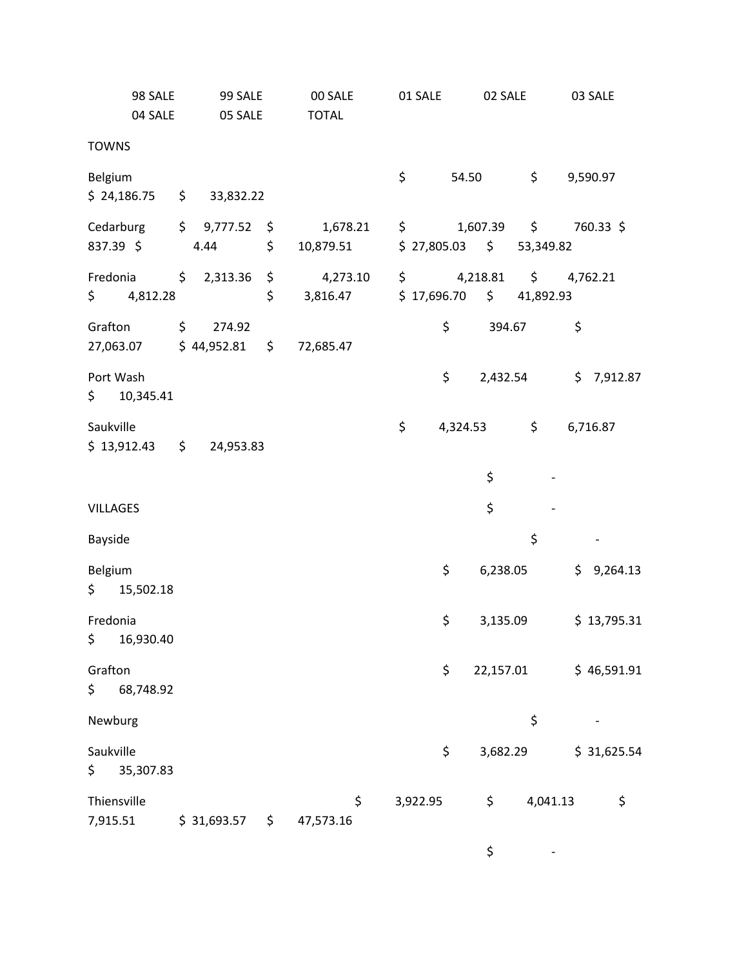| 98 SALE<br>04 SALE           |  | 99 SALE<br>05 SALE |    | 00 SALE<br><b>TOTAL</b> | 01 SALE               |    |           | 02 SALE                                       |    | 03 SALE     |
|------------------------------|--|--------------------|----|-------------------------|-----------------------|----|-----------|-----------------------------------------------|----|-------------|
| <b>TOWNS</b>                 |  |                    |    |                         |                       |    |           |                                               |    |             |
| Belgium                      |  |                    |    |                         | \$                    |    | 54.50     | $\sharp$                                      |    | 9,590.97    |
| $$24,186.75$ $$33,832.22$    |  |                    |    |                         |                       |    |           |                                               |    |             |
| Cedarburg                    |  | \$9,777.52         |    | 1,678.21                | $\sharp$ and $\sharp$ |    |           | 1,607.39 \$ 760.33 \$                         |    |             |
| 837.39 \$                    |  | 4.44               | \$ | 10,879.51               |                       |    |           | $$27,805.03$ $$53,349.82$                     |    |             |
| Fredonia \$ 2,313.36         |  |                    | \$ | 4,273.10                |                       |    |           | $\frac{1}{2}$ 4,218.81 $\frac{1}{2}$ 4,762.21 |    |             |
| \$4,812.28                   |  |                    | \$ | 3,816.47                |                       |    |           | $$17,696.70$ $$41,892.93$                     |    |             |
| Grafton                      |  | \$274.92           |    |                         |                       | \$ | 394.67    |                                               | \$ |             |
| 27,063.07                    |  | $$44,952.81$ \$    |    | 72,685.47               |                       |    |           |                                               |    |             |
| Port Wash<br>\$10,345.41     |  |                    |    |                         |                       | \$ |           | 2,432.54                                      |    | \$7,912.87  |
| Saukville                    |  |                    |    |                         | \$                    |    | 4,324.53  | $\sharp$                                      |    | 6,716.87    |
| $$13,912.43$ $$$             |  | 24,953.83          |    |                         |                       |    |           |                                               |    |             |
|                              |  |                    |    |                         |                       |    | \$        |                                               |    |             |
| <b>VILLAGES</b>              |  |                    |    |                         |                       |    | \$        |                                               |    |             |
| Bayside                      |  |                    |    |                         |                       |    |           | \$                                            |    |             |
| Belgium<br>\$15,502.18       |  |                    |    |                         |                       | \$ | 6,238.05  |                                               |    | \$9,264.13  |
| Fredonia                     |  |                    |    |                         |                       | \$ |           | 3,135.09                                      |    | \$13,795.31 |
| \$.<br>16,930.40             |  |                    |    |                         |                       |    |           |                                               |    |             |
| Grafton                      |  |                    |    |                         |                       | \$ | 22,157.01 |                                               |    | \$46,591.91 |
| \$<br>68,748.92              |  |                    |    |                         |                       |    |           |                                               |    |             |
| Newburg                      |  |                    |    |                         |                       |    |           | \$                                            |    |             |
| Saukville<br>\$<br>35,307.83 |  |                    |    |                         |                       | \$ | 3,682.29  |                                               |    | \$31,625.54 |
| Thiensville<br>7,915.51      |  | \$31,693.57        | \$ | \$<br>47,573.16         | 3,922.95              |    | \$        | 4,041.13                                      |    | \$          |

 $\frac{1}{2}$  -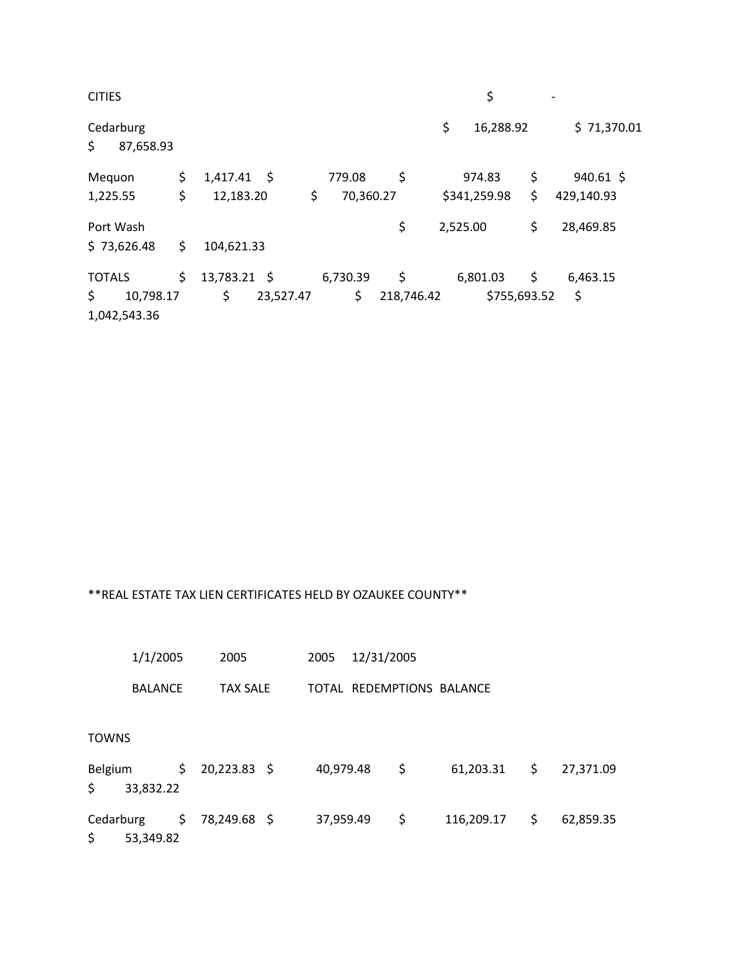| <b>CITIES</b>                   |                       |           |            | \$              |    |             |
|---------------------------------|-----------------------|-----------|------------|-----------------|----|-------------|
| Cedarburg<br>\$<br>87,658.93    |                       |           |            | \$<br>16,288.92 |    | \$71,370.01 |
| Mequon                          | \$<br>$1,417.41$ \$   | 779.08    | \$         | 974.83          | \$ | $940.61$ \$ |
| 1,225.55                        | \$<br>\$<br>12,183.20 | 70,360.27 |            | \$341,259.98    | \$ | 429,140.93  |
| Port Wash                       |                       |           | \$         | 2,525.00        | \$ | 28,469.85   |
| \$73,626.48                     | \$<br>104,621.33      |           |            |                 |    |             |
| <b>TOTALS</b>                   | \$<br>13,783.21 \$    | 6,730.39  | \$         | 6,801.03        | \$ | 6,463.15    |
| \$<br>10,798.17<br>1,042,543.36 | \$<br>23,527.47       | \$        | 218,746.42 | \$755,693.52    |    | \$          |

## \*\*REAL ESTATE TAX LIEN CERTIFICATES HELD BY OZAUKEE COUNTY\*\*

|                | 1/1/2005<br>2005       |                 |              |                           | 2005      |  |    |            |    |           |
|----------------|------------------------|-----------------|--------------|---------------------------|-----------|--|----|------------|----|-----------|
| <b>BALANCE</b> |                        | <b>TAX SALE</b> |              | TOTAL REDEMPTIONS BALANCE |           |  |    |            |    |           |
| TOWNS          |                        |                 |              |                           |           |  |    |            |    |           |
| Belgium<br>\$  | 33,832.22              | \$              | 20,223.83 \$ |                           | 40,979.48 |  | \$ | 61,203.31  | \$ | 27,371.09 |
| \$             | Cedarburg<br>53,349.82 | \$.             | 78,249.68 \$ |                           | 37,959.49 |  | \$ | 116,209.17 | \$ | 62,859.35 |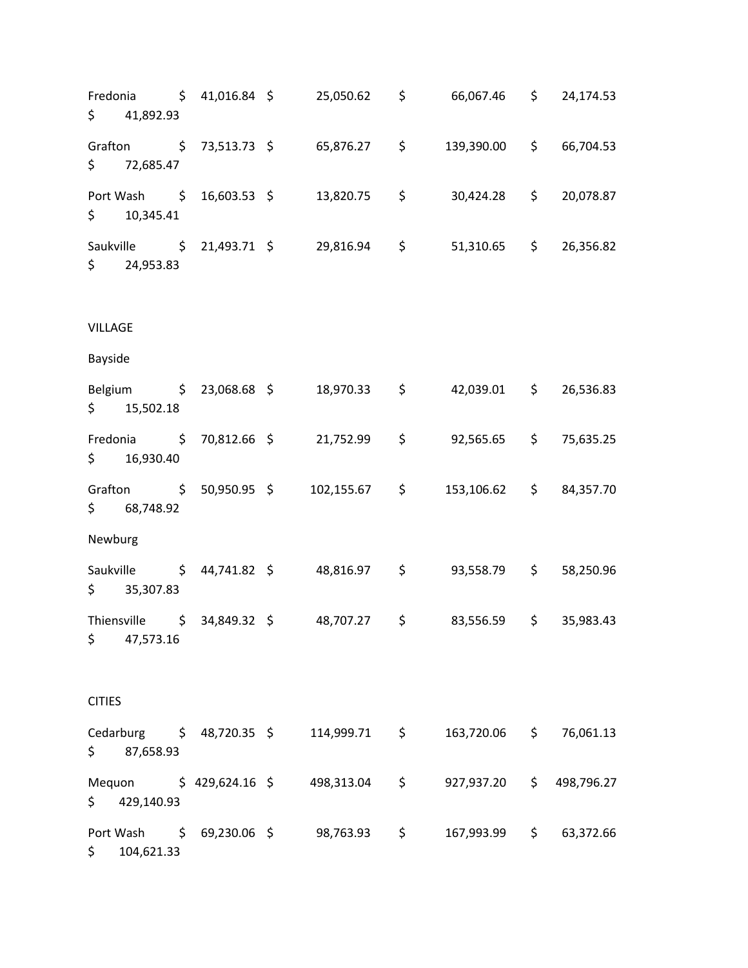Fredonia \$ 41,016.84 \$ 25,050.62 \$ 66,067.46 \$ 24,174.53  $$ 41,892.93$ Grafton \$ 73,513.73 \$ 65,876.27 \$ 139,390.00 \$ 66,704.53 \$ 72,685.47 Port Wash  $\begin{array}{cccc} 5 & 16,603.53 & 5 & 13,820.75 & 5 & 30,424.28 & 5 & 20,078.87 \end{array}$  $$ 10,345.41$ Saukville \$ 21,493.71 \$ 29,816.94 \$ 51,310.65 \$ 26,356.82 \$ 24,953.83 VILLAGE Bayside Belgium \$ 23,068.68 \$ 18,970.33 \$ 42,039.01 \$ 26,536.83  $$ 15,502.18$ Fredonia \$ 70,812.66 \$ 21,752.99 \$ 92,565.65 \$ 75,635.25 \$ 16,930.40 Grafton \$ 50,950.95 \$ 102,155.67 \$ 153,106.62 \$ 84,357.70 \$ 68,748.92 Newburg Saukville \$ 44,741.82 \$ 48,816.97 \$ 93,558.79 \$ 58,250.96 \$ 35,307.83 Thiensville \$ 34,849.32 \$ 48,707.27 \$ 83,556.59 \$ 35,983.43 \$ 47,573.16 CITIES Cedarburg \$ 48,720.35 \$ 114,999.71 \$ 163,720.06 \$ 76,061.13 \$ 87,658.93 Mequon \$ 429,624.16 \$ 498,313.04 \$ 927,937.20 \$ 498,796.27 \$ 429,140.93 Port Wash \$ 69,230.06 \$ 98,763.93 \$ 167,993.99 \$ 63,372.66 \$ 104,621.33